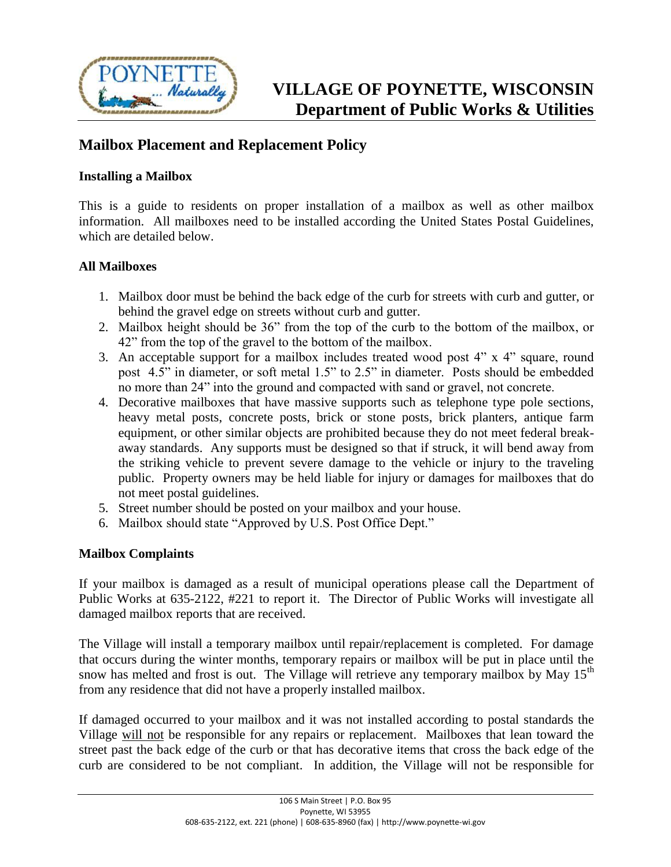

# **Mailbox Placement and Replacement Policy**

### **Installing a Mailbox**

This is a guide to residents on proper installation of a mailbox as well as other mailbox information. All mailboxes need to be installed according the United States Postal Guidelines, which are detailed below.

#### **All Mailboxes**

- 1. Mailbox door must be behind the back edge of the curb for streets with curb and gutter, or behind the gravel edge on streets without curb and gutter.
- 2. Mailbox height should be 36" from the top of the curb to the bottom of the mailbox, or 42" from the top of the gravel to the bottom of the mailbox.
- 3. An acceptable support for a mailbox includes treated wood post 4" x 4" square, round post 4.5" in diameter, or soft metal 1.5" to 2.5" in diameter. Posts should be embedded no more than 24" into the ground and compacted with sand or gravel, not concrete.
- 4. Decorative mailboxes that have massive supports such as telephone type pole sections, heavy metal posts, concrete posts, brick or stone posts, brick planters, antique farm equipment, or other similar objects are prohibited because they do not meet federal breakaway standards. Any supports must be designed so that if struck, it will bend away from the striking vehicle to prevent severe damage to the vehicle or injury to the traveling public. Property owners may be held liable for injury or damages for mailboxes that do not meet postal guidelines.
- 5. Street number should be posted on your mailbox and your house.
- 6. Mailbox should state "Approved by U.S. Post Office Dept."

## **Mailbox Complaints**

If your mailbox is damaged as a result of municipal operations please call the Department of Public Works at 635-2122, #221 to report it. The Director of Public Works will investigate all damaged mailbox reports that are received.

The Village will install a temporary mailbox until repair/replacement is completed. For damage that occurs during the winter months, temporary repairs or mailbox will be put in place until the snow has melted and frost is out. The Village will retrieve any temporary mailbox by May  $15<sup>th</sup>$ from any residence that did not have a properly installed mailbox.

If damaged occurred to your mailbox and it was not installed according to postal standards the Village will not be responsible for any repairs or replacement. Mailboxes that lean toward the street past the back edge of the curb or that has decorative items that cross the back edge of the curb are considered to be not compliant. In addition, the Village will not be responsible for